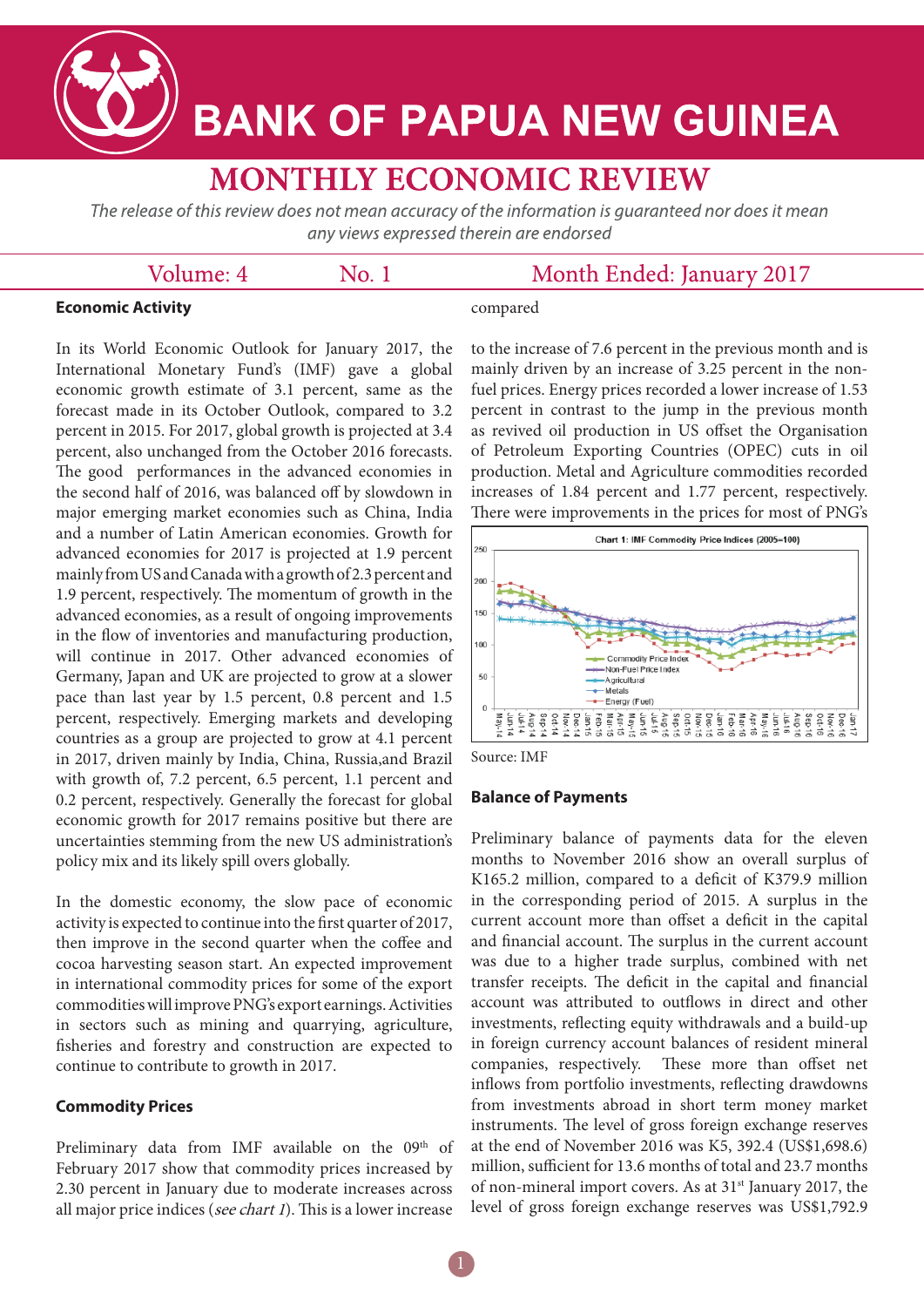**BANK OF PAPUA NEW GUINEA** 

# **MONTHLY ECONOMIC REVIEW**

The release of this review does not mean accuracy of the information is guaranteed nor does it mean any views expressed therein are endorsed

 $No.1$ 

# Volume: 4

# Month Ended: January 2017

## **Economic Activity**

compared

In its World Economic Outlook for January 2017, the International Monetary Fund's (IMF) gave a global economic growth estimate of 3.1 percent, same as the forecast made in its October Outlook, compared to 3.2 percent in 2015. For 2017, global growth is projected at 3.4 percent, also unchanged from the October 2016 forecasts. The good performances in the advanced economies in the second half of 2016, was balanced off by slowdown in major emerging market economies such as China, India and a number of Latin American economies. Growth for advanced economies for 2017 is projected at 1.9 percent mainly from US and Canada with a growth of 2.3 percent and 1.9 percent, respectively. The momentum of growth in the advanced economies, as a result of ongoing improvements in the flow of inventories and manufacturing production, will continue in 2017. Other advanced economies of Germany, Japan and UK are projected to grow at a slower pace than last year by 1.5 percent, 0.8 percent and 1.5 percent, respectively. Emerging markets and developing countries as a group are projected to grow at 4.1 percent in 2017, driven mainly by India, China, Russia,and Brazil with growth of, 7.2 percent, 6.5 percent, 1.1 percent and 0.2 percent, respectively. Generally the forecast for global economic growth for 2017 remains positive but there are uncertainties stemming from the new US administration's policy mix and its likely spill overs globally.

In the domestic economy, the slow pace of economic activity is expected to continue into the first quarter of 2017, then improve in the second quarter when the coffee and cocoa harvesting season start. An expected improvement in international commodity prices for some of the export commodities will improve PNG's export earnings. Activities in sectors such as mining and quarrying, agriculture, fisheries and forestry and construction are expected to continue to contribute to growth in 2017.

## **Commodity Prices**

Preliminary data from IMF available on the 09th of February 2017 show that commodity prices increased by 2.30 percent in January due to moderate increases across all major price indices (see chart 1). This is a lower increase

to the increase of 7.6 percent in the previous month and is mainly driven by an increase of 3.25 percent in the nonfuel prices. Energy prices recorded a lower increase of 1.53 percent in contrast to the jump in the previous month as revived oil production in US offset the Organisation of Petroleum Exporting Countries (OPEC) cuts in oil production. Metal and Agriculture commodities recorded increases of 1.84 percent and 1.77 percent, respectively. There were improvements in the prices for most of PNG's



Source: IMF

#### **Balance of Payments**

Preliminary balance of payments data for the eleven months to November 2016 show an overall surplus of K165.2 million, compared to a deficit of K379.9 million in the corresponding period of 2015. A surplus in the current account more than offset a deficit in the capital and financial account. The surplus in the current account was due to a higher trade surplus, combined with net transfer receipts. The deficit in the capital and financial account was attributed to outflows in direct and other investments, reflecting equity withdrawals and a build-up in foreign currency account balances of resident mineral companies, respectively. These more than offset net inflows from portfolio investments, reflecting drawdowns from investments abroad in short term money market instruments. The level of gross foreign exchange reserves at the end of November 2016 was K5, 392.4 (US\$1,698.6) million, sufficient for 13.6 months of total and 23.7 months of non-mineral import covers. As at 31st January 2017, the level of gross foreign exchange reserves was US\$1,792.9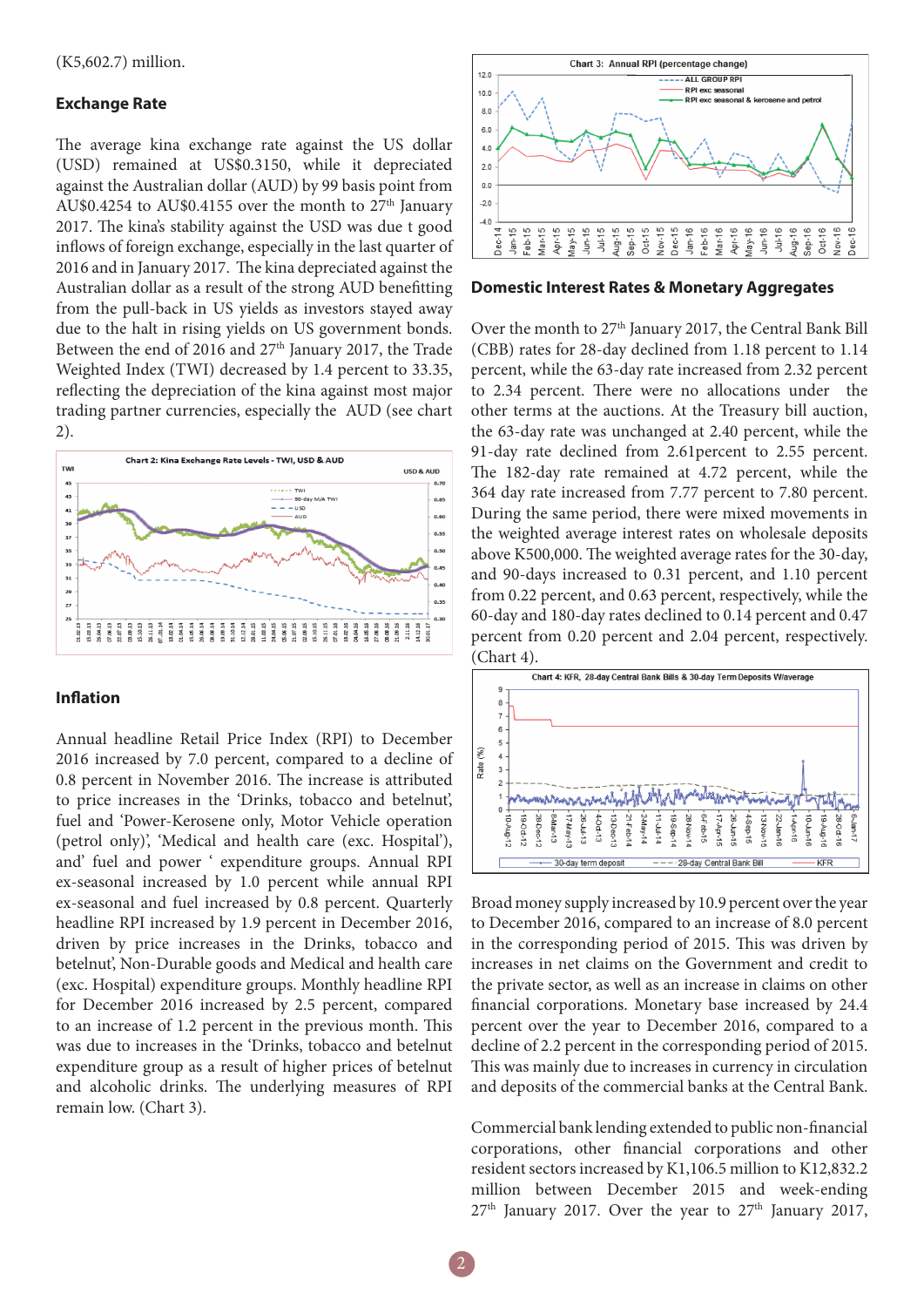#### **Exchange Rate**

The average kina exchange rate against the US dollar (USD) remained at US\$0.3150, while it depreciated against the Australian dollar (AUD) by 99 basis point from AU\$0.4254 to AU\$0.4155 over the month to  $27<sup>th</sup>$  January 2017. The kina's stability against the USD was due t good inflows of foreign exchange, especially in the last quarter of 2016 and in January 2017. The kina depreciated against the Australian dollar as a result of the strong AUD benefitting from the pull-back in US yields as investors stayed away due to the halt in rising yields on US government bonds. Between the end of 2016 and 27<sup>th</sup> January 2017, the Trade Weighted Index (TWI) decreased by 1.4 percent to 33.35, reflecting the depreciation of the kina against most major trading partner currencies, especially the AUD (see chart 2).



#### **Inflation**

Annual headline Retail Price Index (RPI) to December 2016 increased by 7.0 percent, compared to a decline of 0.8 percent in November 2016. The increase is attributed to price increases in the 'Drinks, tobacco and betelnut', fuel and 'Power-Kerosene only, Motor Vehicle operation (petrol only)', 'Medical and health care (exc. Hospital'), and' fuel and power ' expenditure groups. Annual RPI ex-seasonal increased by 1.0 percent while annual RPI ex-seasonal and fuel increased by 0.8 percent. Quarterly headline RPI increased by 1.9 percent in December 2016, driven by price increases in the Drinks, tobacco and betelnut', Non-Durable goods and Medical and health care (exc. Hospital) expenditure groups. Monthly headline RPI for December 2016 increased by 2.5 percent, compared to an increase of 1.2 percent in the previous month. This was due to increases in the 'Drinks, tobacco and betelnut expenditure group as a result of higher prices of betelnut and alcoholic drinks. The underlying measures of RPI remain low. (Chart 3).



**Domestic Interest Rates & Monetary Aggregates** 

Over the month to 27<sup>th</sup> January 2017, the Central Bank Bill (CBB) rates for 28-day declined from 1.18 percent to 1.14 percent, while the 63-day rate increased from 2.32 percent to 2.34 percent. There were no allocations under the other terms at the auctions. At the Treasury bill auction, the 63-day rate was unchanged at 2.40 percent, while the 91-day rate declined from 2.61percent to 2.55 percent. The 182-day rate remained at 4.72 percent, while the 364 day rate increased from 7.77 percent to 7.80 percent. During the same period, there were mixed movements in the weighted average interest rates on wholesale deposits above K500,000. The weighted average rates for the 30-day, and 90-days increased to 0.31 percent, and 1.10 percent from 0.22 percent, and 0.63 percent, respectively, while the 60-day and 180-day rates declined to 0.14 percent and 0.47 percent from 0.20 percent and 2.04 percent, respectively. (Chart 4).



Broad money supply increased by 10.9 percent over the year to December 2016, compared to an increase of 8.0 percent in the corresponding period of 2015. This was driven by increases in net claims on the Government and credit to the private sector, as well as an increase in claims on other financial corporations. Monetary base increased by 24.4 percent over the year to December 2016, compared to a decline of 2.2 percent in the corresponding period of 2015. This was mainly due to increases in currency in circulation and deposits of the commercial banks at the Central Bank.

Commercial bank lending extended to public non-financial corporations, other financial corporations and other resident sectors increased by K1,106.5 million to K12,832.2 million between December 2015 and week-ending  $27<sup>th</sup>$  January 2017. Over the year to  $27<sup>th</sup>$  January 2017,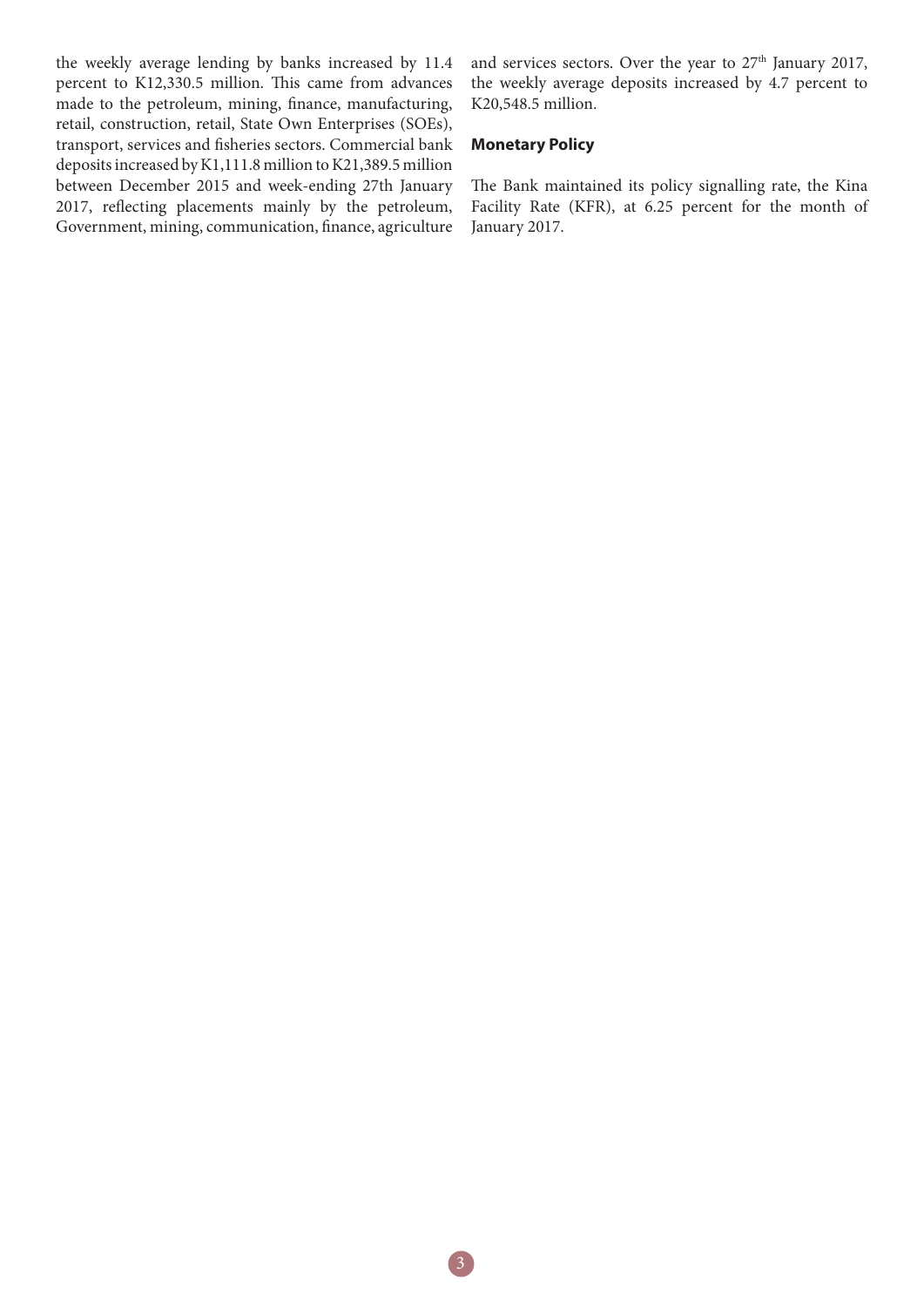the weekly average lending by banks increased by 11.4 percent to K12,330.5 million. This came from advances made to the petroleum, mining, finance, manufacturing, retail, construction, retail, State Own Enterprises (SOEs), transport, services and fisheries sectors. Commercial bank deposits increased by K1,111.8 million to K21,389.5 million between December 2015 and week-ending 27th January 2017, reflecting placements mainly by the petroleum, Government, mining, communication, finance, agriculture

and services sectors. Over the year to 27<sup>th</sup> January 2017, the weekly average deposits increased by 4.7 percent to K20,548.5 million.

#### **Monetary Policy**

The Bank maintained its policy signalling rate, the Kina Facility Rate (KFR), at 6.25 percent for the month of January 2017.